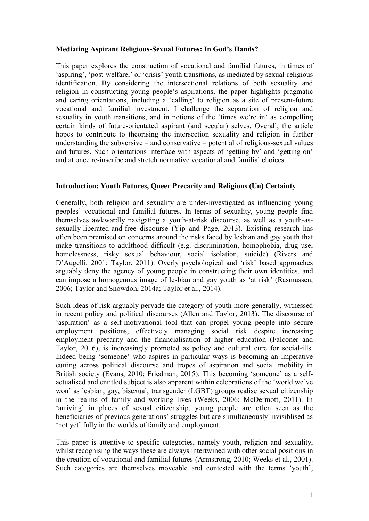#### **Mediating Aspirant Religious-Sexual Futures: In God's Hands?**

This paper explores the construction of vocational and familial futures, in times of 'aspiring', 'post-welfare,' or 'crisis' youth transitions, as mediated by sexual-religious identification. By considering the intersectional relations of both sexuality and religion in constructing young people's aspirations, the paper highlights pragmatic and caring orientations, including a 'calling' to religion as a site of present-future vocational and familial investment. I challenge the separation of religion and sexuality in youth transitions, and in notions of the 'times we're in' as compelling certain kinds of future-orientated aspirant (and secular) selves. Overall, the article hopes to contribute to theorising the intersection sexuality and religion in further understanding the subversive – and conservative – potential of religious-sexual values and futures. Such orientations interface with aspects of 'getting by' and 'getting on' and at once re-inscribe and stretch normative vocational and familial choices.

#### **Introduction: Youth Futures, Queer Precarity and Religions (Un) Certainty**

Generally, both religion and sexuality are under-investigated as influencing young peoples' vocational and familial futures. In terms of sexuality, young people find themselves awkwardly navigating a youth-at-risk discourse, as well as a youth-assexually-liberated-and-free discourse (Yip and Page, 2013). Existing research has often been premised on concerns around the risks faced by lesbian and gay youth that make transitions to adulthood difficult (e.g. discrimination, homophobia, drug use, homelessness, risky sexual behaviour, social isolation, suicide) (Rivers and D'Augelli, 2001; Taylor, 2011). Overly psychological and 'risk' based approaches arguably deny the agency of young people in constructing their own identities, and can impose a homogenous image of lesbian and gay youth as 'at risk' (Rasmussen, 2006; Taylor and Snowdon, 2014a; Taylor et al., 2014).

Such ideas of risk arguably pervade the category of youth more generally, witnessed in recent policy and political discourses (Allen and Taylor, 2013). The discourse of 'aspiration' as a self-motivational tool that can propel young people into secure employment positions, effectively managing social risk despite increasing employment precarity and the financialisation of higher education (Falconer and Taylor, 2016), is increasingly promoted as policy and cultural cure for social-ills. Indeed being 'someone' who aspires in particular ways is becoming an imperative cutting across political discourse and tropes of aspiration and social mobility in British society (Evans, 2010; Friedman, 2015). This becoming 'someone' as a selfactualised and entitled subject is also apparent within celebrations of the 'world we've won' as lesbian, gay, bisexual, transgender (LGBT) groups realise sexual citizenship in the realms of family and working lives (Weeks, 2006; McDermott, 2011). In 'arriving' in places of sexual citizenship, young people are often seen as the beneficiaries of previous generations' struggles but are simultaneously invisiblised as 'not yet' fully in the worlds of family and employment.

This paper is attentive to specific categories, namely youth, religion and sexuality, whilst recognising the ways these are always intertwined with other social positions in the creation of vocational and familial futures (Armstrong, 2010; Weeks et al., 2001). Such categories are themselves moveable and contested with the terms 'youth',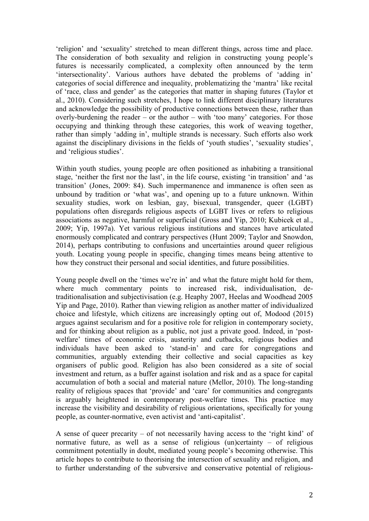'religion' and 'sexuality' stretched to mean different things, across time and place. The consideration of both sexuality and religion in constructing young people's futures is necessarily complicated, a complexity often announced by the term 'intersectionality'. Various authors have debated the problems of 'adding in' categories of social difference and inequality, problematizing the 'mantra' like recital of 'race, class and gender' as the categories that matter in shaping futures (Taylor et al., 2010). Considering such stretches, I hope to link different disciplinary literatures and acknowledge the possibility of productive connections between these, rather than overly-burdening the reader – or the author – with 'too many' categories. For those occupying and thinking through these categories, this work of weaving together, rather than simply 'adding in', multiple strands is necessary. Such efforts also work against the disciplinary divisions in the fields of 'youth studies', 'sexuality studies', and 'religious studies'.

Within youth studies, young people are often positioned as inhabiting a transitional stage, 'neither the first nor the last', in the life course, existing 'in transition' and 'as transition' (Jones, 2009: 84). Such impermanence and immanence is often seen as unbound by tradition or 'what was', and opening up to a future unknown. Within sexuality studies, work on lesbian, gay, bisexual, transgender, queer (LGBT) populations often disregards religious aspects of LGBT lives or refers to religious associations as negative, harmful or superficial (Gross and Yip, 2010; Kubicek et al., 2009; Yip, 1997a). Yet various religious institutions and stances have articulated enormously complicated and contrary perspectives (Hunt 2009; Taylor and Snowdon, 2014), perhaps contributing to confusions and uncertainties around queer religious youth. Locating young people in specific, changing times means being attentive to how they construct their personal and social identities, and future possibilities.

Young people dwell on the 'times we're in' and what the future might hold for them, where much commentary points to increased risk, individualisation, detraditionalisation and subjectivisation (e.g. Heaphy 2007, Heelas and Woodhead 2005 Yip and Page, 2010). Rather than viewing religion as another matter of individualized choice and lifestyle, which citizens are increasingly opting out of, Modood (2015) argues against secularism and for a positive role for religion in contemporary society, and for thinking about religion as a public, not just a private good. Indeed, in 'postwelfare' times of economic crisis, austerity and cutbacks, religious bodies and individuals have been asked to 'stand-in' and care for congregations and communities, arguably extending their collective and social capacities as key organisers of public good. Religion has also been considered as a site of social investment and return, as a buffer against isolation and risk and as a space for capital accumulation of both a social and material nature (Mellor, 2010). The long-standing reality of religious spaces that 'provide' and 'care' for communities and congregants is arguably heightened in contemporary post-welfare times. This practice may increase the visibility and desirability of religious orientations, specifically for young people, as counter-normative, even activist and 'anti-capitalist'.

A sense of queer precarity – of not necessarily having access to the 'right kind' of normative future, as well as a sense of religious (un)certainty  $-$  of religious commitment potentially in doubt, mediated young people's becoming otherwise. This article hopes to contribute to theorising the intersection of sexuality and religion, and to further understanding of the subversive and conservative potential of religious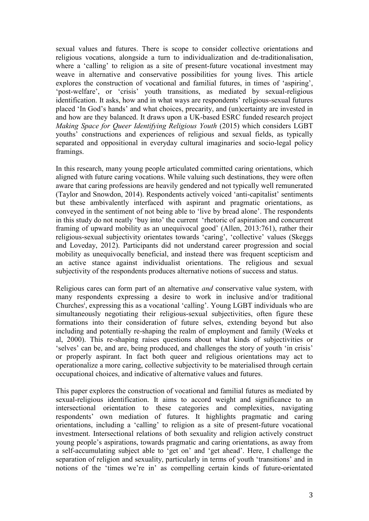sexual values and futures. There is scope to consider collective orientations and religious vocations, alongside a turn to individualization and de-traditionalisation, where a 'calling' to religion as a site of present-future vocational investment may weave in alternative and conservative possibilities for young lives. This article explores the construction of vocational and familial futures, in times of 'aspiring', 'post-welfare', or 'crisis' youth transitions, as mediated by sexual-religious identification. It asks, how and in what ways are respondents' religious-sexual futures placed 'In God's hands' and what choices, precarity, and (un)certainty are invested in and how are they balanced. It draws upon a UK-based ESRC funded research project *Making Space for Queer Identifying Religious Youth* (2015) which considers LGBT youths' constructions and experiences of religious and sexual fields, as typically separated and oppositional in everyday cultural imaginaries and socio-legal policy framings.

In this research, many young people articulated committed caring orientations, which aligned with future caring vocations. While valuing such destinations, they were often aware that caring professions are heavily gendered and not typically well remunerated (Taylor and Snowdon, 2014). Respondents actively voiced 'anti-capitalist' sentiments but these ambivalently interfaced with aspirant and pragmatic orientations, as conveyed in the sentiment of not being able to 'live by bread alone'. The respondents in this study do not neatly 'buy into' the current 'rhetoric of aspiration and concurrent framing of upward mobility as an unequivocal good' (Allen, 2013:761), rather their religious-sexual subjectivity orientates towards 'caring', 'collective' values (Skeggs and Loveday, 2012). Participants did not understand career progression and social mobility as unequivocally beneficial, and instead there was frequent scepticism and an active stance against individualist orientations. The religious and sexual subjectivity of the respondents produces alternative notions of success and status.

Religious cares can form part of an alternative *and* conservative value system, with many respondents expressing a desire to work in inclusive and/or traditional Churches<sup>i</sup>, expressing this as a vocational 'calling'. Young LGBT individuals who are simultaneously negotiating their religious-sexual subjectivities, often figure these formations into their consideration of future selves, extending beyond but also including and potentially re-shaping the realm of employment and family (Weeks et al, 2000). This re-shaping raises questions about what kinds of subjectivities or 'selves' can be, and are, being produced, and challenges the story of youth 'in crisis' or properly aspirant. In fact both queer and religious orientations may act to operationalize a more caring, collective subjectivity to be materialised through certain occupational choices, and indicative of alternative values and futures.

This paper explores the construction of vocational and familial futures as mediated by sexual-religious identification. It aims to accord weight and significance to an intersectional orientation to these categories and complexities, navigating respondents' own mediation of futures. It highlights pragmatic and caring orientations, including a 'calling' to religion as a site of present-future vocational investment. Intersectional relations of both sexuality and religion actively construct young people's aspirations, towards pragmatic and caring orientations, as away from a self-accumulating subject able to 'get on' and 'get ahead'. Here, I challenge the separation of religion and sexuality, particularly in terms of youth 'transitions' and in notions of the 'times we're in' as compelling certain kinds of future-orientated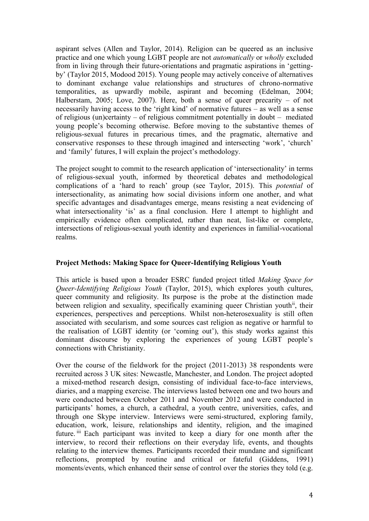aspirant selves (Allen and Taylor, 2014). Religion can be queered as an inclusive practice and one which young LGBT people are not *automatically* or *wholly* excluded from in living through their future-orientations and pragmatic aspirations in 'gettingby' (Taylor 2015, Modood 2015). Young people may actively conceive of alternatives to dominant exchange value relationships and structures of chrono-normative temporalities, as upwardly mobile, aspirant and becoming (Edelman, 2004; Halberstam, 2005; Love, 2007). Here, both a sense of queer precarity – of not necessarily having access to the 'right kind' of normative futures – as well as a sense of religious (un)certainty – of religious commitment potentially in doubt – mediated young people's becoming otherwise. Before moving to the substantive themes of religious-sexual futures in precarious times, and the pragmatic, alternative and conservative responses to these through imagined and intersecting 'work', 'church' and 'family' futures, I will explain the project's methodology.

The project sought to commit to the research application of 'intersectionality' in terms of religious-sexual youth, informed by theoretical debates and methodological complications of a 'hard to reach' group (see Taylor, 2015). This *potential* of intersectionality, as animating how social divisions inform one another, and what specific advantages and disadvantages emerge, means resisting a neat evidencing of what intersectionality 'is' as a final conclusion. Here I attempt to highlight and empirically evidence often complicated, rather than neat, list-like or complete, intersections of religious-sexual youth identity and experiences in familial-vocational realms.

# **Project Methods: Making Space for Queer-Identifying Religious Youth**

This article is based upon a broader ESRC funded project titled *Making Space for Queer-Identifying Religious Youth* (Taylor, 2015), which explores youth cultures, queer community and religiosity. Its purpose is the probe at the distinction made between religion and sexuality, specifically examining queer Christian youth<sup>ii</sup>, their experiences, perspectives and perceptions. Whilst non-heterosexuality is still often associated with secularism, and some sources cast religion as negative or harmful to the realisation of LGBT identity (or 'coming out'), this study works against this dominant discourse by exploring the experiences of young LGBT people's connections with Christianity.

Over the course of the fieldwork for the project (2011-2013) 38 respondents were recruited across 3 UK sites: Newcastle, Manchester, and London. The project adopted a mixed-method research design, consisting of individual face-to-face interviews, diaries, and a mapping exercise. The interviews lasted between one and two hours and were conducted between October 2011 and November 2012 and were conducted in participants' homes, a church, a cathedral, a youth centre, universities, cafes, and through one Skype interview. Interviews were semi-structured, exploring family, education, work, leisure, relationships and identity, religion, and the imagined future. iii Each participant was invited to keep a diary for one month after the interview, to record their reflections on their everyday life, events, and thoughts relating to the interview themes. Participants recorded their mundane and significant reflections, prompted by routine and critical or fateful (Giddens, 1991) moments/events, which enhanced their sense of control over the stories they told (e.g.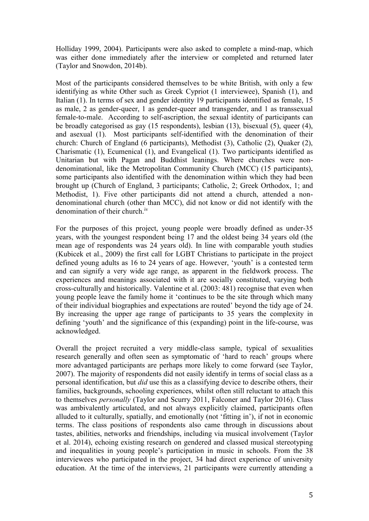Holliday 1999, 2004). Participants were also asked to complete a mind-map, which was either done immediately after the interview or completed and returned later (Taylor and Snowdon, 2014b).

Most of the participants considered themselves to be white British, with only a few identifying as white Other such as Greek Cypriot (1 interviewee), Spanish (1), and Italian (1). In terms of sex and gender identity 19 participants identified as female, 15 as male, 2 as gender-queer, 1 as gender-queer and transgender, and 1 as transsexual female-to-male. According to self-ascription, the sexual identity of participants can be broadly categorised as gay (15 respondents), lesbian (13), bisexual (5), queer (4), and asexual (1). Most participants self-identified with the denomination of their church: Church of England (6 participants), Methodist (3), Catholic (2), Quaker (2), Charismatic (1), Ecumenical (1), and Evangelical (1). Two participants identified as Unitarian but with Pagan and Buddhist leanings. Where churches were nondenominational, like the Metropolitan Community Church (MCC) (15 participants), some participants also identified with the denomination within which they had been brought up (Church of England, 3 participants; Catholic, 2; Greek Orthodox, 1; and Methodist, 1). Five other participants did not attend a church, attended a nondenominational church (other than MCC), did not know or did not identify with the denomination of their church.iv

For the purposes of this project, young people were broadly defined as under-35 years, with the youngest respondent being 17 and the oldest being 34 years old (the mean age of respondents was 24 years old). In line with comparable youth studies (Kubicek et al., 2009) the first call for LGBT Christians to participate in the project defined young adults as 16 to 24 years of age. However, 'youth' is a contested term and can signify a very wide age range, as apparent in the fieldwork process. The experiences and meanings associated with it are socially constituted, varying both cross-culturally and historically. Valentine et al. (2003: 481) recognise that even when young people leave the family home it 'continues to be the site through which many of their individual biographies and expectations are routed' beyond the tidy age of 24. By increasing the upper age range of participants to 35 years the complexity in defining 'youth' and the significance of this (expanding) point in the life-course, was acknowledged.

Overall the project recruited a very middle-class sample, typical of sexualities research generally and often seen as symptomatic of 'hard to reach' groups where more advantaged participants are perhaps more likely to come forward (see Taylor, 2007). The majority of respondents did not easily identify in terms of social class as a personal identification, but *did* use this as a classifying device to describe others, their families, backgrounds, schooling experiences, whilst often still reluctant to attach this to themselves *personally* (Taylor and Scurry 2011, Falconer and Taylor 2016). Class was ambivalently articulated, and not always explicitly claimed, participants often alluded to it culturally, spatially, and emotionally (not 'fitting in'), if not in economic terms. The class positions of respondents also came through in discussions about tastes, abilities, networks and friendships, including via musical involvement (Taylor et al. 2014), echoing existing research on gendered and classed musical stereotyping and inequalities in young people's participation in music in schools. From the 38 interviewees who participated in the project, 34 had direct experience of university education. At the time of the interviews, 21 participants were currently attending a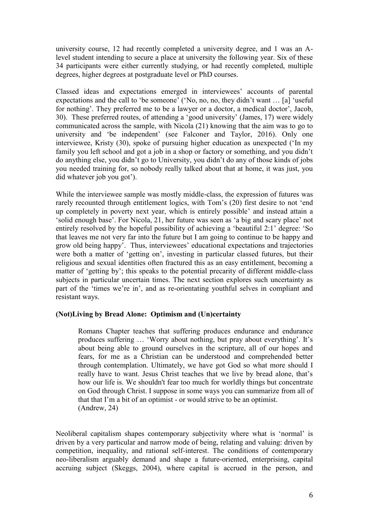university course, 12 had recently completed a university degree, and 1 was an Alevel student intending to secure a place at university the following year. Six of these 34 participants were either currently studying, or had recently completed, multiple degrees, higher degrees at postgraduate level or PhD courses.

Classed ideas and expectations emerged in interviewees' accounts of parental expectations and the call to 'be someone' ('No, no, no, they didn't want … [a] 'useful for nothing'. They preferred me to be a lawyer or a doctor, a medical doctor', Jacob, 30). These preferred routes, of attending a 'good university' (James, 17) were widely communicated across the sample, with Nicola (21) knowing that the aim was to go to university and 'be independent' (see Falconer and Taylor, 2016). Only one interviewee, Kristy (30), spoke of pursuing higher education as unexpected ('In my family you left school and got a job in a shop or factory or something, and you didn't do anything else, you didn't go to University, you didn't do any of those kinds of jobs you needed training for, so nobody really talked about that at home, it was just, you did whatever job you got').

While the interviewee sample was mostly middle-class, the expression of futures was rarely recounted through entitlement logics, with Tom's (20) first desire to not 'end up completely in poverty next year, which is entirely possible' and instead attain a 'solid enough base'. For Nicola, 21, her future was seen as 'a big and scary place' not entirely resolved by the hopeful possibility of achieving a 'beautiful 2:1' degree: 'So that leaves me not very far into the future but I am going to continue to be happy and grow old being happy'. Thus, interviewees' educational expectations and trajectories were both a matter of 'getting on', investing in particular classed futures, but their religious and sexual identities often fractured this as an easy entitlement, becoming a matter of 'getting by'; this speaks to the potential precarity of different middle-class subjects in particular uncertain times. The next section explores such uncertainty as part of the 'times we're in', and as re-orientating youthful selves in compliant and resistant ways.

# **(Not)Living by Bread Alone: Optimism and (Un)certainty**

Romans Chapter teaches that suffering produces endurance and endurance produces suffering … 'Worry about nothing, but pray about everything'. It's about being able to ground ourselves in the scripture, all of our hopes and fears, for me as a Christian can be understood and comprehended better through contemplation. Ultimately, we have got God so what more should I really have to want. Jesus Christ teaches that we live by bread alone, that's how our life is. We shouldn't fear too much for worldly things but concentrate on God through Christ. I suppose in some ways you can summarize from all of that that I'm a bit of an optimist - or would strive to be an optimist. (Andrew, 24)

Neoliberal capitalism shapes contemporary subjectivity where what is 'normal' is driven by a very particular and narrow mode of being, relating and valuing: driven by competition, inequality, and rational self-interest. The conditions of contemporary neo-liberalism arguably demand and shape a future-oriented, enterprising, capital accruing subject (Skeggs, 2004), where capital is accrued in the person, and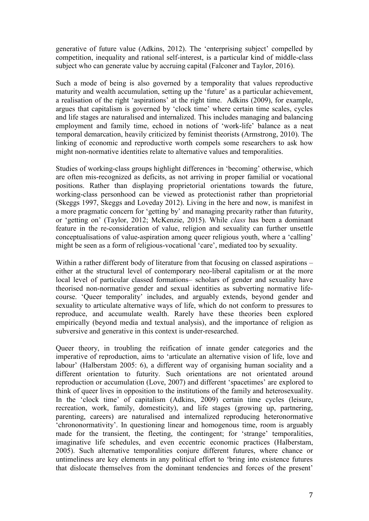generative of future value (Adkins, 2012). The 'enterprising subject' compelled by competition, inequality and rational self-interest, is a particular kind of middle-class subject who can generate value by accruing capital (Falconer and Taylor, 2016).

Such a mode of being is also governed by a temporality that values reproductive maturity and wealth accumulation, setting up the 'future' as a particular achievement, a realisation of the right 'aspirations' at the right time. Adkins (2009), for example, argues that capitalism is governed by 'clock time' where certain time scales, cycles and life stages are naturalised and internalized. This includes managing and balancing employment and family time, echoed in notions of 'work-life' balance as a neat temporal demarcation, heavily criticized by feminist theorists (Armstrong, 2010). The linking of economic and reproductive worth compels some researchers to ask how might non-normative identities relate to alternative values and temporalities.

Studies of working-class groups highlight differences in 'becoming' otherwise, which are often mis-recognized as deficits, as not arriving in proper familial or vocational positions. Rather than displaying proprietorial orientations towards the future, working-class personhood can be viewed as protectionist rather than proprietorial (Skeggs 1997, Skeggs and Loveday 2012). Living in the here and now, is manifest in a more pragmatic concern for 'getting by' and managing precarity rather than futurity, or 'getting on' (Taylor, 2012; McKenzie, 2015). While *class* has been a dominant feature in the re-consideration of value, religion and sexuality can further unsettle conceptualisations of value-aspiration among queer religious youth, where a 'calling' might be seen as a form of religious-vocational 'care', mediated too by sexuality.

Within a rather different body of literature from that focusing on classed aspirations – either at the structural level of contemporary neo-liberal capitalism or at the more local level of particular classed formations– scholars of gender and sexuality have theorised non-normative gender and sexual identities as subverting normative lifecourse. 'Queer temporality' includes, and arguably extends, beyond gender and sexuality to articulate alternative ways of life, which do not conform to pressures to reproduce, and accumulate wealth. Rarely have these theories been explored empirically (beyond media and textual analysis), and the importance of religion as subversive and generative in this context is under-researched.

Queer theory, in troubling the reification of innate gender categories and the imperative of reproduction, aims to 'articulate an alternative vision of life, love and labour' (Halberstam 2005: 6), a different way of organising human sociality and a different orientation to futurity. Such orientations are not orientated around reproduction or accumulation (Love, 2007) and different 'spacetimes' are explored to think of queer lives in opposition to the institutions of the family and heterosexuality. In the 'clock time' of capitalism (Adkins, 2009) certain time cycles (leisure, recreation, work, family, domesticity), and life stages (growing up, partnering, parenting, careers) are naturalised and internalized reproducing heteronormative 'chrononormativity'. In questioning linear and homogenous time, room is arguably made for the transient, the fleeting, the contingent; for 'strange' temporalities, imaginative life schedules, and even eccentric economic practices (Halberstam, 2005). Such alternative temporalities conjure different futures, where chance or untimeliness are key elements in any political effort to 'bring into existence futures that dislocate themselves from the dominant tendencies and forces of the present'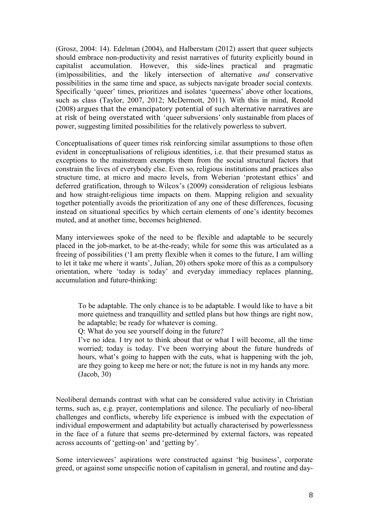(Grosz, 2004: 14). Edelman (2004), and Halberstam (2012) assert that queer subjects should embrace non-productivity and resist narratives of futurity explicitly bound in capitalist accumulation. However, this side-lines practical and pragmatic (im)possibilities, and the likely intersection of alternative *and* conservative possibilities in the same time and space, as subjects navigate broader social contexts. Specifically 'queer' times, prioritizes and isolates 'queerness' above other locations, such as class (Taylor, 2007, 2012; McDermott, 2011). With this in mind, Renold (2008) argues that the emancipatory potential of such alternative narratives are at risk of being overstated with 'queer subversions' only sustainable from places of power, suggesting limited possibilities for the relatively powerless to subvert.

Conceptualisations of queer times risk reinforcing similar assumptions to those often evident in conceptualisations of religious identities, i.e. that their presumed status as exceptions to the mainstream exempts them from the social structural factors that constrain the lives of everybody else. Even so, religious institutions and practices also structure time, at micro and macro levels, from Weberian 'protestant ethics' and deferred gratification, through to Wilcox's (2009) consideration of religious lesbians and how straight-religious time impacts on them. Mapping religion and sexuality together potentially avoids the prioritization of any one of these differences, focusing instead on situational specifics by which certain elements of one's identity becomes muted, and at another time, becomes heightened.

Many interviewees spoke of the need to be flexible and adaptable to be securely placed in the job-market, to be at-the-ready; while for some this was articulated as a freeing of possibilities ('I am pretty flexible when it comes to the future, I am willing to let it take me where it wants', Julian, 20) others spoke more of this as a compulsory orientation, where 'today is today' and everyday immediacy replaces planning, accumulation and future-thinking:

To be adaptable. The only chance is to be adaptable. I would like to have a bit more quietness and tranquillity and settled plans but how things are right now, be adaptable; be ready for whatever is coming.

Q: What do you see yourself doing in the future?

I've no idea. I try not to think about that or what I will become, all the time worried; today is today. I've been worrying about the future hundreds of hours, what's going to happen with the cuts, what is happening with the job, are they going to keep me here or not; the future is not in my hands any more. (Jacob, 30)

Neoliberal demands contrast with what can be considered value activity in Christian terms, such as, e.g. prayer, contemplations and silence. The peculiarly of neo-liberal challenges and conflicts, whereby life experience is imbued with the expectation of individual empowerment and adaptability but actually characterised by powerlessness in the face of a future that seems pre-determined by external factors, was repeated across accounts of 'getting-on' and 'getting by'.

Some interviewees' aspirations were constructed against 'big business', corporate greed, or against some unspecific notion of capitalism in general, and routine and day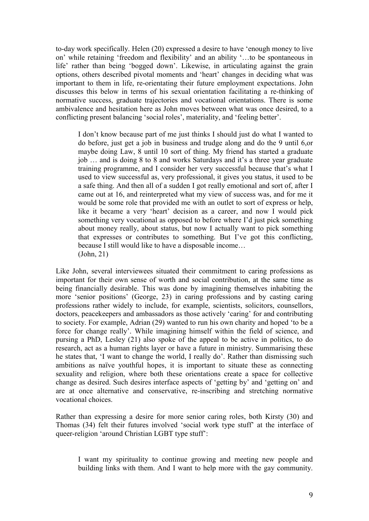to-day work specifically. Helen (20) expressed a desire to have 'enough money to live on' while retaining 'freedom and flexibility' and an ability '…to be spontaneous in life' rather than being 'bogged down'. Likewise, in articulating against the grain options, others described pivotal moments and 'heart' changes in deciding what was important to them in life, re-orientating their future employment expectations. John discusses this below in terms of his sexual orientation facilitating a re-thinking of normative success, graduate trajectories and vocational orientations. There is some ambivalence and hesitation here as John moves between what was once desired, to a conflicting present balancing 'social roles', materiality, and 'feeling better'.

I don't know because part of me just thinks I should just do what I wanted to do before, just get a job in business and trudge along and do the 9 until 6,or maybe doing Law, 8 until 10 sort of thing. My friend has started a graduate job … and is doing 8 to 8 and works Saturdays and it's a three year graduate training programme, and I consider her very successful because that's what I used to view successful as, very professional, it gives you status, it used to be a safe thing. And then all of a sudden I got really emotional and sort of, after I came out at 16, and reinterpreted what my view of success was, and for me it would be some role that provided me with an outlet to sort of express or help, like it became a very 'heart' decision as a career, and now I would pick something very vocational as opposed to before where I'd just pick something about money really, about status, but now I actually want to pick something that expresses or contributes to something. But I've got this conflicting, because I still would like to have a disposable income… (John, 21)

Like John, several interviewees situated their commitment to caring professions as important for their own sense of worth and social contribution, at the same time as being financially desirable. This was done by imagining themselves inhabiting the more 'senior positions' (George, 23) in caring professions and by casting caring professions rather widely to include, for example, scientists, solicitors, counsellors, doctors, peacekeepers and ambassadors as those actively 'caring' for and contributing to society. For example, Adrian (29) wanted to run his own charity and hoped 'to be a force for change really'. While imagining himself within the field of science, and pursing a PhD, Lesley (21) also spoke of the appeal to be active in politics, to do research, act as a human rights layer or have a future in ministry. Summarising these he states that, 'I want to change the world, I really do'. Rather than dismissing such ambitions as naïve youthful hopes, it is important to situate these as connecting sexuality and religion, where both these orientations create a space for collective change as desired. Such desires interface aspects of 'getting by' and 'getting on' and are at once alternative and conservative, re-inscribing and stretching normative vocational choices.

Rather than expressing a desire for more senior caring roles, both Kirsty (30) and Thomas (34) felt their futures involved 'social work type stuff' at the interface of queer-religion 'around Christian LGBT type stuff':

I want my spirituality to continue growing and meeting new people and building links with them. And I want to help more with the gay community.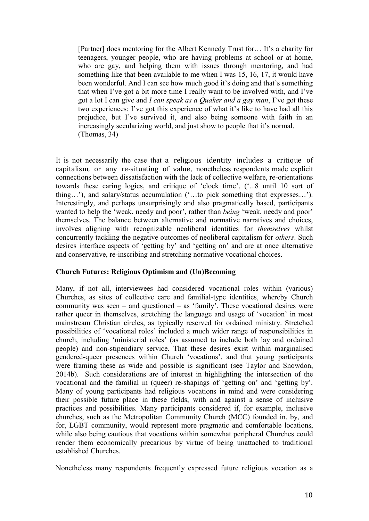[Partner] does mentoring for the Albert Kennedy Trust for… It's a charity for teenagers, younger people, who are having problems at school or at home, who are gay, and helping them with issues through mentoring, and had something like that been available to me when I was 15, 16, 17, it would have been wonderful. And I can see how much good it's doing and that's something that when I've got a bit more time I really want to be involved with, and I've got a lot I can give and *I can speak as a Quaker and a gay man*, I've got these two experiences: I've got this experience of what it's like to have had all this prejudice, but I've survived it, and also being someone with faith in an increasingly secularizing world, and just show to people that it's normal. (Thomas, 34)

It is not necessarily the case that a religious identity includes a critique of capitalism, or any re-situating of value, nonetheless respondents made explicit connections between dissatisfaction with the lack of collective welfare, re-orientations towards these caring logics, and critique of 'clock time', ('...8 until 10 sort of thing…'), and salary/status accumulation ('…to pick something that expresses…'). Interestingly, and perhaps unsurprisingly and also pragmatically based, participants wanted to help the 'weak, needy and poor', rather than *being* 'weak, needy and poor' themselves. The balance between alternative and normative narratives and choices, involves aligning with recognizable neoliberal identities for *themselves* whilst concurrently tackling the negative outcomes of neoliberal capitalism for *others*. Such desires interface aspects of 'getting by' and 'getting on' and are at once alternative and conservative, re-inscribing and stretching normative vocational choices.

## **Church Futures: Religious Optimism and (Un)Becoming**

Many, if not all, interviewees had considered vocational roles within (various) Churches, as sites of collective care and familial-type identities, whereby Church community was seen – and questioned – as 'family'. These vocational desires were rather queer in themselves, stretching the language and usage of 'vocation' in most mainstream Christian circles, as typically reserved for ordained ministry. Stretched possibilities of 'vocational roles' included a much wider range of responsibilities in church, including 'ministerial roles' (as assumed to include both lay and ordained people) and non-stipendiary service. That these desires exist within marginalised gendered-queer presences within Church 'vocations', and that young participants were framing these as wide and possible is significant (see Taylor and Snowdon, 2014b). Such considerations are of interest in highlighting the intersection of the vocational and the familial in (queer) re-shapings of 'getting on' and 'getting by'. Many of young participants had religious vocations in mind and were considering their possible future place in these fields, with and against a sense of inclusive practices and possibilities. Many participants considered if, for example, inclusive churches, such as the Metropolitan Community Church (MCC) founded in, by, and for, LGBT community, would represent more pragmatic and comfortable locations, while also being cautious that vocations within somewhat peripheral Churches could render them economically precarious by virtue of being unattached to traditional established Churches.

Nonetheless many respondents frequently expressed future religious vocation as a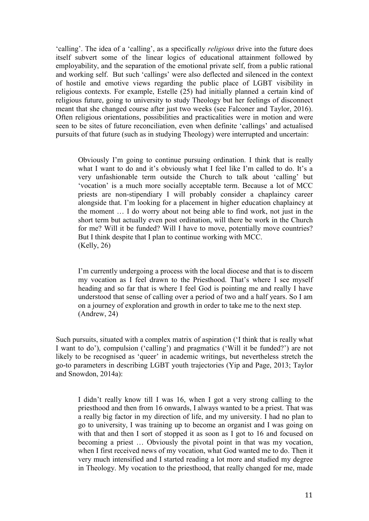'calling'. The idea of a 'calling', as a specifically *religious* drive into the future does itself subvert some of the linear logics of educational attainment followed by employability, and the separation of the emotional private self, from a public rational and working self. But such 'callings' were also deflected and silenced in the context of hostile and emotive views regarding the public place of LGBT visibility in religious contexts. For example, Estelle (25) had initially planned a certain kind of religious future, going to university to study Theology but her feelings of disconnect meant that she changed course after just two weeks (see Falconer and Taylor, 2016). Often religious orientations, possibilities and practicalities were in motion and were seen to be sites of future reconciliation, even when definite 'callings' and actualised pursuits of that future (such as in studying Theology) were interrupted and uncertain:

Obviously I'm going to continue pursuing ordination. I think that is really what I want to do and it's obviously what I feel like I'm called to do. It's a very unfashionable term outside the Church to talk about 'calling' but 'vocation' is a much more socially acceptable term. Because a lot of MCC priests are non-stipendiary I will probably consider a chaplaincy career alongside that. I'm looking for a placement in higher education chaplaincy at the moment … I do worry about not being able to find work, not just in the short term but actually even post ordination, will there be work in the Church for me? Will it be funded? Will I have to move, potentially move countries? But I think despite that I plan to continue working with MCC. (Kelly, 26)

I'm currently undergoing a process with the local diocese and that is to discern my vocation as I feel drawn to the Priesthood. That's where I see myself heading and so far that is where I feel God is pointing me and really I have understood that sense of calling over a period of two and a half years. So I am on a journey of exploration and growth in order to take me to the next step. (Andrew, 24)

Such pursuits, situated with a complex matrix of aspiration ('I think that is really what I want to do'), compulsion ('calling') and pragmatics ('Will it be funded?') are not likely to be recognised as 'queer' in academic writings, but nevertheless stretch the go-to parameters in describing LGBT youth trajectories (Yip and Page, 2013; Taylor and Snowdon, 2014a):

I didn't really know till I was 16, when I got a very strong calling to the priesthood and then from 16 onwards, I always wanted to be a priest. That was a really big factor in my direction of life, and my university. I had no plan to go to university, I was training up to become an organist and I was going on with that and then I sort of stopped it as soon as I got to 16 and focused on becoming a priest … Obviously the pivotal point in that was my vocation, when I first received news of my vocation, what God wanted me to do. Then it very much intensified and I started reading a lot more and studied my degree in Theology. My vocation to the priesthood, that really changed for me, made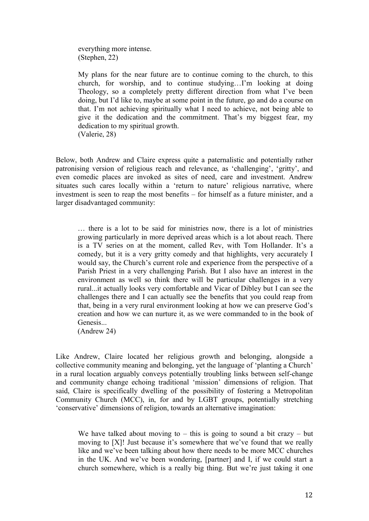everything more intense. (Stephen, 22)

My plans for the near future are to continue coming to the church, to this church, for worship, and to continue studying…I'm looking at doing Theology, so a completely pretty different direction from what I've been doing, but I'd like to, maybe at some point in the future, go and do a course on that. I'm not achieving spiritually what I need to achieve, not being able to give it the dedication and the commitment. That's my biggest fear, my dedication to my spiritual growth. (Valerie, 28)

Below, both Andrew and Claire express quite a paternalistic and potentially rather patronising version of religious reach and relevance, as 'challenging', 'gritty', and even comedic places are invoked as sites of need, care and investment. Andrew situates such cares locally within a 'return to nature' religious narrative, where investment is seen to reap the most benefits – for himself as a future minister, and a larger disadvantaged community:

… there is a lot to be said for ministries now, there is a lot of ministries growing particularly in more deprived areas which is a lot about reach. There is a TV series on at the moment, called Rev, with Tom Hollander. It's a comedy, but it is a very gritty comedy and that highlights, very accurately I would say, the Church's current role and experience from the perspective of a Parish Priest in a very challenging Parish. But I also have an interest in the environment as well so think there will be particular challenges in a very rural...it actually looks very comfortable and Vicar of Dibley but I can see the challenges there and I can actually see the benefits that you could reap from that, being in a very rural environment looking at how we can preserve God's creation and how we can nurture it, as we were commanded to in the book of Genesis...

(Andrew 24)

Like Andrew, Claire located her religious growth and belonging, alongside a collective community meaning and belonging, yet the language of 'planting a Church' in a rural location arguably conveys potentially troubling links between self-change and community change echoing traditional 'mission' dimensions of religion. That said, Claire is specifically dwelling of the possibility of fostering a Metropolitan Community Church (MCC), in, for and by LGBT groups, potentially stretching 'conservative' dimensions of religion, towards an alternative imagination:

We have talked about moving to  $-$  this is going to sound a bit crazy  $-$  but moving to [X]! Just because it's somewhere that we've found that we really like and we've been talking about how there needs to be more MCC churches in the UK. And we've been wondering, [partner] and I, if we could start a church somewhere, which is a really big thing. But we're just taking it one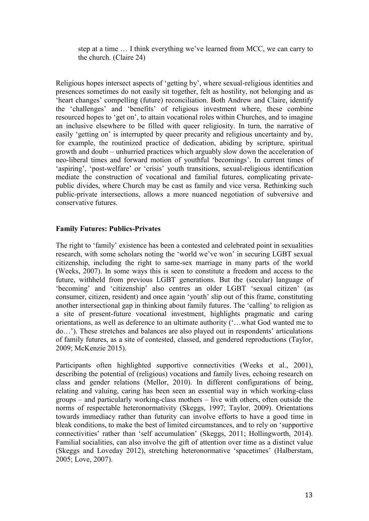step at a time … I think everything we've learned from MCC, we can carry to the church. (Claire 24)

Religious hopes intersect aspects of 'getting by', where sexual-religious identities and presences sometimes do not easily sit together, felt as hostility, not belonging and as 'heart changes' compelling (future) reconciliation. Both Andrew and Claire, identify the 'challenges' and 'benefits' of religious investment where, these combine resourced hopes to 'get on', to attain vocational roles within Churches, and to imagine an inclusive elsewhere to be filled with queer religiosity. In turn, the narrative of easily 'getting on' is interrupted by queer precarity and religious uncertainty and by, for example, the routinized practice of dedication, abiding by scripture, spiritual growth and doubt – unhurried practices which arguably slow down the acceleration of neo-liberal times and forward motion of youthful 'becomings'. In current times of 'aspiring', 'post-welfare' or 'crisis' youth transitions, sexual-religious identification mediate the construction of vocational and familial futures, complicating privatepublic divides, where Church may be cast as family and vice versa. Rethinking such public-private intersections, allows a more nuanced negotiation of subversive and conservative futures.

#### **Family Futures: Publics-Privates**

The right to 'family' existence has been a contested and celebrated point in sexualities research, with some scholars noting the 'world we've won' in securing LGBT sexual citizenship, including the right to same-sex marriage in many parts of the world (Weeks, 2007). In some ways this is seen to constitute a freedom and access to the future, withheld from previous LGBT generations. But the (secular) language of 'becoming' and 'citizenship' also centres an older LGBT 'sexual citizen' (as consumer, citizen, resident) and once again 'youth' slip out of this frame, constituting another intersectional gap in thinking about family futures. The 'calling' to religion as a site of present-future vocational investment, highlights pragmatic and caring orientations, as well as deference to an ultimate authority ('…what God wanted me to do…'). These stretches and balances are also played out in respondents' articulations of family futures, as a site of contested, classed, and gendered reproductions (Taylor, 2009; McKenzie 2015).

Participants often highlighted supportive connectivities (Weeks et al., 2001), describing the potential of (religious) vocations and family lives, echoing research on class and gender relations (Mellor, 2010). In different configurations of being, relating and valuing, caring has been seen an essential way in which working-class groups – and particularly working-class mothers – live with others, often outside the norms of respectable heteronormativity (Skeggs, 1997; Taylor, 2009). Orientations towards immediacy rather than futurity can involve efforts to have a good time in bleak conditions, to make the best of limited circumstances, and to rely on 'supportive connectivities' rather than 'self accumulation' (Skeggs, 2011; Hollingworth, 2014). Familial socialities, can also involve the gift of attention over time as a distinct value (Skeggs and Loveday 2012), stretching heteronormative 'spacetimes' (Halberstam, 2005; Love, 2007).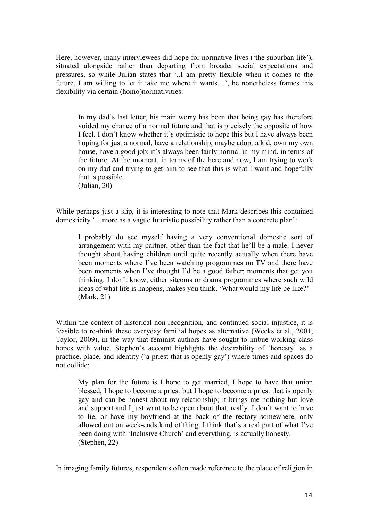Here, however, many interviewees did hope for normative lives ('the suburban life'), situated alongside rather than departing from broader social expectations and pressures, so while Julian states that '..I am pretty flexible when it comes to the future, I am willing to let it take me where it wants…', he nonetheless frames this flexibility via certain (homo)normativities:

In my dad's last letter, his main worry has been that being gay has therefore voided my chance of a normal future and that is precisely the opposite of how I feel. I don't know whether it's optimistic to hope this but I have always been hoping for just a normal, have a relationship, maybe adopt a kid, own my own house, have a good job; it's always been fairly normal in my mind, in terms of the future. At the moment, in terms of the here and now, I am trying to work on my dad and trying to get him to see that this is what I want and hopefully that is possible. (Julian, 20)

While perhaps just a slip, it is interesting to note that Mark describes this contained domesticity '…more as a vague futuristic possibility rather than a concrete plan':

I probably do see myself having a very conventional domestic sort of arrangement with my partner, other than the fact that he'll be a male. I never thought about having children until quite recently actually when there have been moments where I've been watching programmes on TV and there have been moments when I've thought I'd be a good father; moments that get you thinking. I don't know, either sitcoms or drama programmes where such wild ideas of what life is happens, makes you think, 'What would my life be like?' (Mark, 21)

Within the context of historical non-recognition, and continued social injustice, it is feasible to re-think these everyday familial hopes as alternative (Weeks et al., 2001; Taylor, 2009), in the way that feminist authors have sought to imbue working-class hopes with value. Stephen's account highlights the desirability of 'honesty' as a practice, place, and identity ('a priest that is openly gay') where times and spaces do not collide:

My plan for the future is I hope to get married, I hope to have that union blessed, I hope to become a priest but I hope to become a priest that is openly gay and can be honest about my relationship; it brings me nothing but love and support and I just want to be open about that, really. I don't want to have to lie, or have my boyfriend at the back of the rectory somewhere, only allowed out on week-ends kind of thing. I think that's a real part of what I've been doing with 'Inclusive Church' and everything, is actually honesty. (Stephen, 22)

In imaging family futures, respondents often made reference to the place of religion in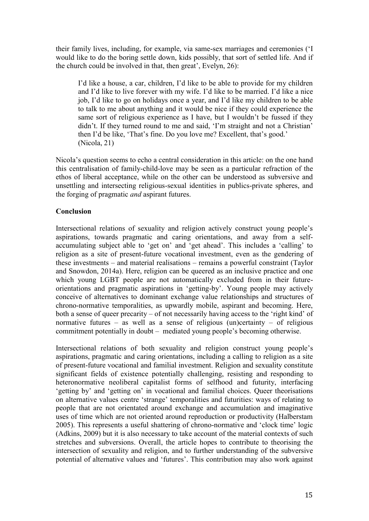their family lives, including, for example, via same-sex marriages and ceremonies ('I would like to do the boring settle down, kids possibly, that sort of settled life. And if the church could be involved in that, then great', Evelyn, 26):

I'd like a house, a car, children, I'd like to be able to provide for my children and I'd like to live forever with my wife. I'd like to be married. I'd like a nice job, I'd like to go on holidays once a year, and I'd like my children to be able to talk to me about anything and it would be nice if they could experience the same sort of religious experience as I have, but I wouldn't be fussed if they didn't. If they turned round to me and said, 'I'm straight and not a Christian' then I'd be like, 'That's fine. Do you love me? Excellent, that's good.' (Nicola, 21)

Nicola's question seems to echo a central consideration in this article: on the one hand this centralisation of family-child-love may be seen as a particular refraction of the ethos of liberal acceptance, while on the other can be understood as subversive and unsettling and intersecting religious-sexual identities in publics-private spheres, and the forging of pragmatic *and* aspirant futures.

## **Conclusion**

Intersectional relations of sexuality and religion actively construct young people's aspirations, towards pragmatic and caring orientations, and away from a selfaccumulating subject able to 'get on' and 'get ahead'. This includes a 'calling' to religion as a site of present-future vocational investment, even as the gendering of these investments – and material realisations – remains a powerful constraint (Taylor and Snowdon, 2014a). Here, religion can be queered as an inclusive practice and one which young LGBT people are not automatically excluded from in their futureorientations and pragmatic aspirations in 'getting-by'. Young people may actively conceive of alternatives to dominant exchange value relationships and structures of chrono-normative temporalities, as upwardly mobile, aspirant and becoming. Here, both a sense of queer precarity – of not necessarily having access to the 'right kind' of normative futures – as well as a sense of religious (un)certainty – of religious commitment potentially in doubt – mediated young people's becoming otherwise.

Intersectional relations of both sexuality and religion construct young people's aspirations, pragmatic and caring orientations, including a calling to religion as a site of present-future vocational and familial investment. Religion and sexuality constitute significant fields of existence potentially challenging, resisting and responding to heteronormative neoliberal capitalist forms of selfhood and futurity, interfacing 'getting by' and 'getting on' in vocational and familial choices. Queer theorisations on alternative values centre 'strange' temporalities and futurities: ways of relating to people that are not orientated around exchange and accumulation and imaginative uses of time which are not oriented around reproduction or productivity (Halberstam 2005). This represents a useful shattering of chrono-normative and 'clock time' logic (Adkins, 2009) but it is also necessary to take account of the material contexts of such stretches and subversions. Overall, the article hopes to contribute to theorising the intersection of sexuality and religion, and to further understanding of the subversive potential of alternative values and 'futures'. This contribution may also work against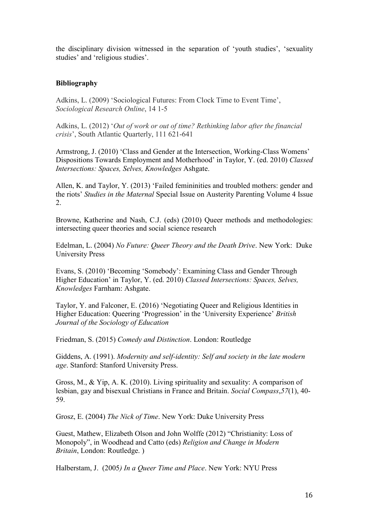the disciplinary division witnessed in the separation of 'youth studies', 'sexuality studies' and 'religious studies'.

## **Bibliography**

Adkins, L. (2009) 'Sociological Futures: From Clock Time to Event Time', *Sociological Research Online*, 14 1-5

Adkins, L. (2012) '*Out of work or out of time? Rethinking labor after the financial crisis*', South Atlantic Quarterly, 111 621-641

Armstrong, J. (2010) 'Class and Gender at the Intersection, Working-Class Womens' Dispositions Towards Employment and Motherhood' in Taylor, Y. (ed. 2010) *Classed Intersections: Spaces, Selves, Knowledges* Ashgate.

Allen, K. and Taylor, Y. (2013) 'Failed femininities and troubled mothers: gender and the riots' *[Studies in the Maternal](http://www.mamsie.bbk.ac.uk/)* Special Issue on Austerity Parenting Volume 4 Issue 2.

Browne, Katherine and Nash, C.J. (eds) (2010) [Queer methods and methodologies:](http://eprints.brighton.ac.uk/8523/)  [intersecting queer theories and social science research](http://eprints.brighton.ac.uk/8523/)

Edelman, L. (2004) *No Future: Queer Theory and the Death Drive*. New York: Duke University Press

Evans, S. (2010) 'Becoming 'Somebody': Examining Class and Gender Through Higher Education' in Taylor, Y. (ed. 2010) *Classed Intersections: Spaces, Selves, Knowledges* Farnham: Ashgate.

Taylor, Y. and Falconer, E. (2016) 'Negotiating Queer and Religious Identities in Higher Education: Queering 'Progression' in the 'University Experience' *British Journal of the Sociology of Education*

Friedman, S. (2015) *Comedy and Distinction*. London: Routledge

Giddens, A. (1991). *Modernity and self-identity: Self and society in the late modern age*. Stanford: Stanford University Press.

Gross, M., & Yip, A. K. (2010). Living spirituality and sexuality: A comparison of lesbian, gay and bisexual Christians in France and Britain. *Social Compass*,*57*(1), 40- 59.

Grosz, E. (2004) *The Nick of Time*. New York: Duke University Press

Guest, Mathew, Elizabeth Olson and John Wolffe (2012) "Christianity: Loss of Monopoly", in Woodhead and Catto (eds) *Religion and Change in Modern Britain*, London: Routledge. )

Halberstam, J. (2005*) In a Queer Time and Place*. New York: NYU Press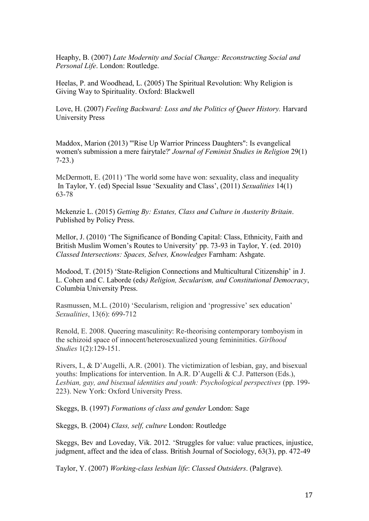Heaphy, B. (2007) *Late Modernity and Social Change: Reconstructing Social and Personal Life*. London: Routledge.

Heelas, P. and Woodhead, L. (2005) The Spiritual Revolution: Why Religion is Giving Way to Spirituality. Oxford: Blackwell

Love, H. (2007) *Feeling Backward: Loss and the Politics of Queer History*. Harvard University Press

Maddox, Marion (2013) '"Rise Up Warrior Princess Daughters": Is evangelical women's submission a mere fairytale?' *Journal of Feminist Studies in Religion* 29(1) 7-23.)

McDermott, E. (2011) '[The world some have won: sexuality, class and inequality](http://www.research.lancs.ac.uk/portal/en/publications/the-world-some-have-won(971a4665-c856-4e00-8d6c-ff9ef4b7947b).html) In Taylor, Y. (ed) Special Issue 'Sexuality and Class', (2011) *Sexualities* 14(1) 63-78

Mckenzie L. (2015) *Getting By: Estates, Class and Culture in Austerity Britain*. Published by Policy Press.

Mellor, J. (2010) 'The Significance of Bonding Capital: Class, Ethnicity, Faith and British Muslim Women's Routes to University' pp. 73-93 in Taylor, Y. (ed. 2010) *Classed Intersections: Spaces, Selves, Knowledges* Farnham: Ashgate.

Modood, T. (2015) 'State-Religion Connections and Multicultural Citizenship' in J. L. Cohen and C. Laborde (eds*) [Religion, Secularism, and Constitutional Democracy](http://cup.columbia.edu/book/religion-secularism-and-constitutional-democracy/9780231168700)*, Columbia University Press.

Rasmussen, M.L. (2010) 'Secularism, religion and 'progressive' sex education' *Sexualities*, 13(6): 699-712

Renold, E. 2008. [Queering masculinity: Re-theorising contemporary tomboyism in](http://orca.cf.ac.uk/28229)  [the schizoid space of innocent/heterosexualized young femininities.](http://orca.cf.ac.uk/28229) *Girlhood Studies* 1(2):129-151.

Rivers, I., & D'Augelli, A.R. (2001). The victimization of lesbian, gay, and bisexual youths: Implications for intervention. In A.R. D'Augelli & C.J. Patterson (Eds.), *Lesbian, gay, and bisexual identities and youth: Psychological perspectives* (pp. 199- 223). New York: Oxford University Press.

Skeggs, B. (1997) *Formations of class and gender* London: Sage

Skeggs, B. (2004) *Class, self, culture* London: Routledge

[Skeggs, Bev](http://research.gold.ac.uk/view/goldsmiths/Skeggs=3ABev=3A=3A.html) and [Loveday, Vik](http://research.gold.ac.uk/view/goldsmiths/Loveday=3AVik=3A=3A.html). 2012. 'Struggles for value: value practices, injustice, judgment, affect and the idea of class. British Journal of Sociology, 63(3), pp. 472-49

Taylor, Y. (2007) *Working-class lesbian life*: *Classed Outsiders*. (Palgrave).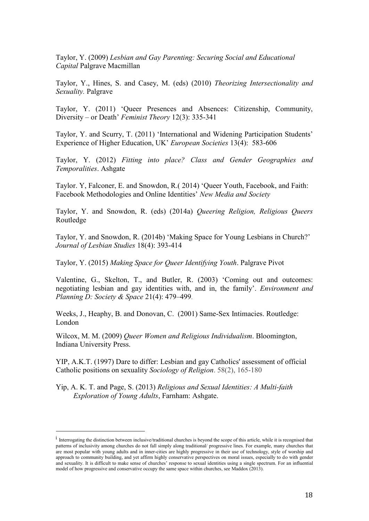Taylor, Y. (2009) *Lesbian and Gay Parenting: Securing Social and Educational Capital* Palgrave Macmillan

Taylor, Y., Hines, S. and Casey, M. (eds) (2010) *Theorizing Intersectionality and Sexuality.* Palgrave

Taylor, Y. (2011) 'Queer Presences and Absences: Citizenship, Community, Diversity – or Death' *Feminist Theory* 12(3): 335-341

Taylor, Y. and Scurry, T. (2011) 'International and Widening Participation Students' Experience of Higher Education, UK' *European Societies* 13(4): 583-606

Taylor, Y. (2012) *Fitting into place? Class and Gender Geographies and Temporalities*. Ashgate

Taylor. Y, Falconer, E. and Snowdon, R.( 2014) 'Queer Youth, Facebook, and Faith: Facebook Methodologies and Online Identities' *New Media and Society* 

Taylor, Y. and Snowdon, R. (eds) (2014a) *Queering Religion, Religious Queers* Routledge

Taylor, Y. and Snowdon, R. (2014b) 'Making Space for Young Lesbians in Church?' *Journal of Lesbian Studies* 18(4): 393-414

Taylor, Y. (2015) *Making Space for Queer Identifying Youth*. Palgrave Pivot

Valentine, G., Skelton, T., and Butler, R. (2003) 'Coming out and outcomes: negotiating lesbian and gay identities with, and in, the family'. *Environment and Planning D: Society & Space* 21(4): 479–499.

Weeks, J., Heaphy, B. and Donovan, C. (2001) Same-Sex Intimacies. Routledge: London

Wilcox, M. M. (2009) *Queer Women and Religious Individualism*. Bloomington, Indiana University Press.

YIP, A.K.T. (1997) Dare to differ: Lesbian and gay Catholics' assessment of official Catholic positions on sexuality *Sociology of Religion*. 58(2), 165-180

Yip, A. K. T. and Page, S. (2013) *Religious and Sexual Identities: A Multi-faith Exploration of Young Adults*, Farnham: Ashgate.

 $\overline{\phantom{a}}$ 

<sup>&</sup>lt;sup>i</sup> Interrogating the distinction between inclusive/traditional churches is beyond the scope of this article, while it is recognised that patterns of inclusivity among churches do not fall simply along traditional/ progressive lines. For example, many churches that are most popular with young adults and in inner-cities are highly progressive in their use of technology, style of worship and approach to community building, and yet affirm highly conservative perspectives on moral issues, especially to do with gender and sexuality. It is difficult to make sense of churches' response to sexual identities using a single spectrum. For an influential model of how progressive and conservative occupy the same space within churches, see Maddox (2013).